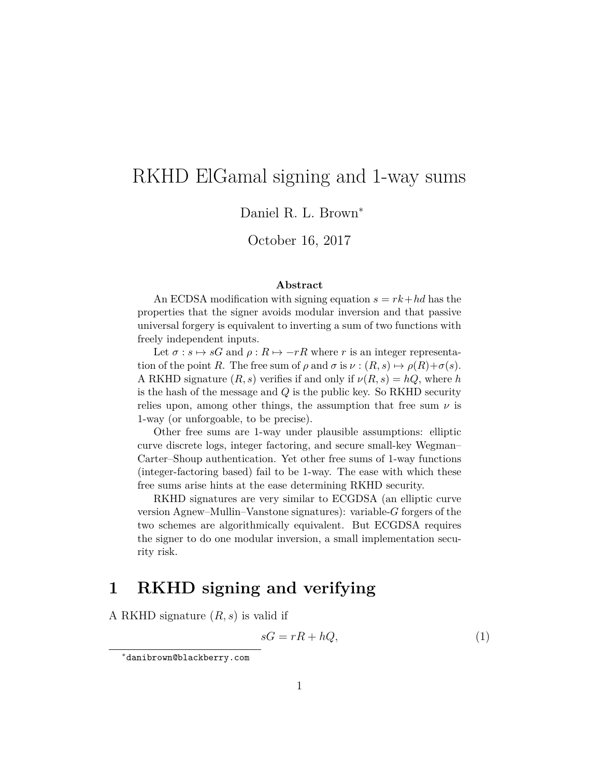# RKHD ElGamal signing and 1-way sums

Daniel R. L. Brown<sup>∗</sup>

October 16, 2017

#### **Abstract**

An ECDSA modification with signing equation  $s = rk + hd$  has the properties that the signer avoids modular inversion and that passive universal forgery is equivalent to inverting a sum of two functions with freely independent inputs.

Let  $\sigma : s \mapsto sG$  and  $\rho : R \mapsto -rR$  where *r* is an integer representation of the point *R*. The free sum of  $\rho$  and  $\sigma$  is  $\nu : (R, s) \mapsto \rho(R) + \sigma(s)$ . A RKHD signature  $(R, s)$  verifies if and only if  $\nu(R, s) = hQ$ , where *h* is the hash of the message and *Q* is the public key. So RKHD security relies upon, among other things, the assumption that free sum  $\nu$  is 1-way (or unforgoable, to be precise).

Other free sums are 1-way under plausible assumptions: elliptic curve discrete logs, integer factoring, and secure small-key Wegman– Carter–Shoup authentication. Yet other free sums of 1-way functions (integer-factoring based) fail to be 1-way. The ease with which these free sums arise hints at the ease determining RKHD security.

RKHD signatures are very similar to ECGDSA (an elliptic curve version Agnew–Mullin–Vanstone signatures): variable-*G* forgers of the two schemes are algorithmically equivalent. But ECGDSA requires the signer to do one modular inversion, a small implementation security risk.

## **1 RKHD signing and verifying**

A RKHD signature (*R, s*) is valid if

$$
sG = rR + hQ,\tag{1}
$$

<sup>∗</sup>danibrown@blackberry.com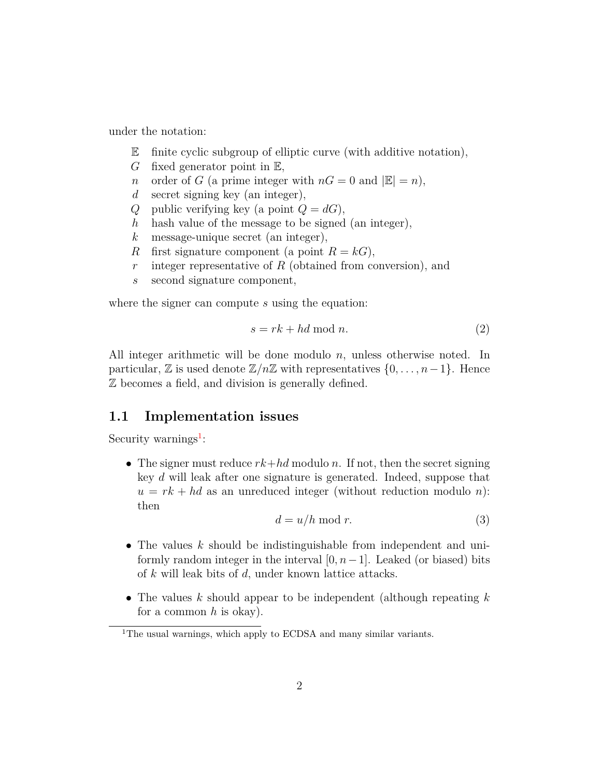under the notation:

- $\mathbb E$  finite cyclic subgroup of elliptic curve (with additive notation),
- *G* fixed generator point in E,
- *n* order of *G* (a prime integer with  $nG = 0$  and  $|\mathbb{E}| = n$ ),
- *d* secret signing key (an integer),
- *Q* public verifying key (a point  $Q = dG$ ),
- *h* hash value of the message to be signed (an integer),
- *k* message-unique secret (an integer),
- *R* first signature component (a point  $R = kG$ ),
- *r* integer representative of *R* (obtained from conversion), and
- *s* second signature component,

where the signer can compute *s* using the equation:

$$
s = rk + hd \bmod n. \tag{2}
$$

All integer arithmetic will be done modulo *n*, unless otherwise noted. In particular,  $\mathbb{Z}$  is used denote  $\mathbb{Z}/n\mathbb{Z}$  with representatives  $\{0,\ldots,n-1\}$ . Hence Z becomes a field, and division is generally defined.

### **1.1 Implementation issues**

Security warnings<sup>[1](#page-1-0)</sup>:

• The signer must reduce *rk*+*hd* modulo *n*. If not, then the secret signing key *d* will leak after one signature is generated. Indeed, suppose that  $u = rk + hd$  as an unreduced integer (without reduction modulo *n*): then

$$
d = u/h \bmod r.
$$
 (3)

- The values *k* should be indistinguishable from independent and uniformly random integer in the interval  $[0, n-1]$ . Leaked (or biased) bits of *k* will leak bits of *d*, under known lattice attacks.
- The values *k* should appear to be independent (although repeating *k* for a common *h* is okay).

<span id="page-1-0"></span><sup>&</sup>lt;sup>1</sup>The usual warnings, which apply to ECDSA and many similar variants.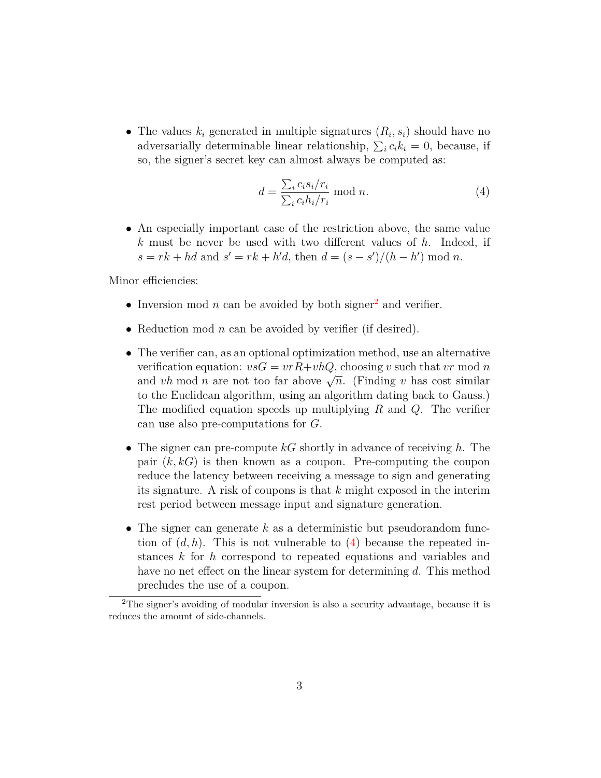• The values  $k_i$  generated in multiple signatures  $(R_i, s_i)$  should have no adversarially determinable linear relationship,  $\sum_i c_i k_i = 0$ , because, if so, the signer's secret key can almost always be computed as:

<span id="page-2-1"></span>
$$
d = \frac{\sum_{i} c_i s_i / r_i}{\sum_{i} c_i h_i / r_i} \mod n. \tag{4}
$$

• An especially important case of the restriction above, the same value *k* must be never be used with two different values of *h*. Indeed, if  $s = rk + hd$  and  $s' = rk + h'd$ , then  $d = (s - s')/(h - h') \mod n$ .

Minor efficiencies:

- Inversion mod  $n$  can be avoided by both signer<sup>[2](#page-2-0)</sup> and verifier.
- Reduction mod *n* can be avoided by verifier (if desired).
- The verifier can, as an optional optimization method, use an alternative verification equation:  $vsG = vrR + vhQ$ , choosing *v* such that *vr* mod *n* verification equation.  $vsG = vT T + vT Q$ , choosing v such that v filled *n* and vh mod *n* are not too far above  $\sqrt{n}$ . (Finding v has cost similar to the Euclidean algorithm, using an algorithm dating back to Gauss.) The modified equation speeds up multiplying *R* and *Q*. The verifier can use also pre-computations for *G*.
- The signer can pre-compute *kG* shortly in advance of receiving *h*. The pair (*k, kG*) is then known as a coupon. Pre-computing the coupon reduce the latency between receiving a message to sign and generating its signature. A risk of coupons is that *k* might exposed in the interim rest period between message input and signature generation.
- The signer can generate *k* as a deterministic but pseudorandom function of  $(d, h)$ . This is not vulnerable to  $(4)$  because the repeated instances *k* for *h* correspond to repeated equations and variables and have no net effect on the linear system for determining *d*. This method precludes the use of a coupon.

<span id="page-2-0"></span><sup>2</sup>The signer's avoiding of modular inversion is also a security advantage, because it is reduces the amount of side-channels.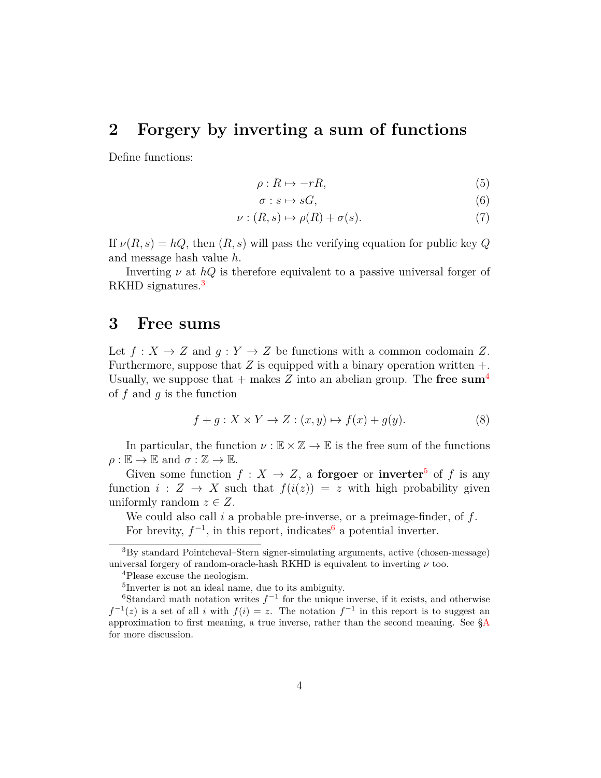## **2 Forgery by inverting a sum of functions**

Define functions:

$$
\rho: R \mapsto -rR,\tag{5}
$$

$$
\sigma: s \mapsto sG,\tag{6}
$$

$$
\nu : (R, s) \mapsto \rho(R) + \sigma(s). \tag{7}
$$

If  $\nu(R, s) = hQ$ , then  $(R, s)$  will pass the verifying equation for public key Q and message hash value *h*.

Inverting *ν* at *hQ* is therefore equivalent to a passive universal forger of RKHD signatures.<sup>[3](#page-3-0)</sup>

### **3 Free sums**

Let  $f: X \to Z$  and  $g: Y \to Z$  be functions with a common codomain Z. Furthermore, suppose that  $Z$  is equipped with a binary operation written  $+$ . Usually, we suppose that  $+$  makes  $Z$  into an abelian group. The **free sum<sup>[4](#page-3-1)</sup>** of *f* and *g* is the function

$$
f + g: X \times Y \to Z: (x, y) \mapsto f(x) + g(y). \tag{8}
$$

In particular, the function  $\nu : \mathbb{E} \times \mathbb{Z} \to \mathbb{E}$  is the free sum of the functions  $\rho : \mathbb{E} \to \mathbb{E}$  and  $\sigma : \mathbb{Z} \to \mathbb{E}$ .

Given some function  $f: X \to Z$ , a **forgoer** or **inverter**<sup>[5](#page-3-2)</sup> of f is any function  $i: Z \rightarrow X$  such that  $f(i(z)) = z$  with high probability given uniformly random  $z \in Z$ .

We could also call *i* a probable pre-inverse, or a preimage-finder, of *f*. For brevity,  $f^{-1}$ , in this report, indicates<sup>[6](#page-3-3)</sup> a potential inverter.

<span id="page-3-0"></span><sup>3</sup>By standard Pointcheval–Stern signer-simulating arguments, active (chosen-message) universal forgery of random-oracle-hash RKHD is equivalent to inverting  $\nu$  too.

<span id="page-3-1"></span><sup>4</sup>Please excuse the neologism.

<span id="page-3-3"></span><span id="page-3-2"></span><sup>5</sup> Inverter is not an ideal name, due to its ambiguity.

<sup>&</sup>lt;sup>6</sup>Standard math notation writes  $f^{-1}$  for the unique inverse, if it exists, and otherwise  $f^{-1}(z)$  is a set of all *i* with  $f(i) = z$ . The notation  $f^{-1}$  in this report is to suggest an approximation to first meaning, a true inverse, rather than the second meaning. See [§A](#page-9-0) for more discussion.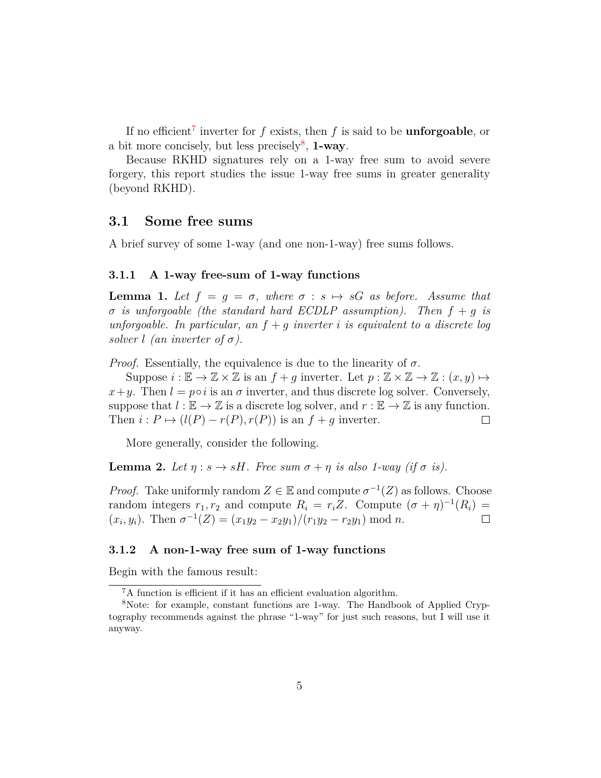If no efficient[7](#page-4-0) inverter for *f* exists, then *f* is said to be **unforgoable**, or a bit more concisely, but less precisely<sup>[8](#page-4-1)</sup>, 1-way.

Because RKHD signatures rely on a 1-way free sum to avoid severe forgery, this report studies the issue 1-way free sums in greater generality (beyond RKHD).

#### **3.1 Some free sums**

A brief survey of some 1-way (and one non-1-way) free sums follows.

#### **3.1.1 A 1-way free-sum of 1-way functions**

**Lemma 1.** Let  $f = g = \sigma$ , where  $\sigma : s \mapsto sG$  as before. Assume that *σ is unforgoable (the standard hard ECDLP assumption). Then f* + *g is unforgoable. In particular, an f* + *g inverter i is equivalent to a discrete log solver l* (an inverter of  $\sigma$ ).

*Proof.* Essentially, the equivalence is due to the linearity of  $\sigma$ .

Suppose  $i : \mathbb{E} \to \mathbb{Z} \times \mathbb{Z}$  is an  $f + g$  inverter. Let  $p : \mathbb{Z} \times \mathbb{Z} \to \mathbb{Z} : (x, y) \mapsto$  $x+y$ . Then  $l = p \circ i$  is an  $\sigma$  inverter, and thus discrete log solver. Conversely, suppose that  $l : \mathbb{E} \to \mathbb{Z}$  is a discrete log solver, and  $r : \mathbb{E} \to \mathbb{Z}$  is any function. Then  $i: P \mapsto (l(P) - r(P), r(P))$  is an  $f + g$  inverter.  $\Box$ 

More generally, consider the following.

**Lemma 2.** Let  $\eta : s \to sH$ . Free sum  $\sigma + \eta$  is also 1-way (if  $\sigma$  is).

*Proof.* Take uniformly random  $Z \in \mathbb{E}$  and compute  $\sigma^{-1}(Z)$  as follows. Choose random integers  $r_1, r_2$  and compute  $R_i = r_i Z$ . Compute  $(\sigma + \eta)^{-1}(R_i) =$  $(x_i, y_i)$ . Then  $\sigma^{-1}(Z) = (x_1y_2 - x_2y_1)/(r_1y_2 - r_2y_1) \mod n$ .  $\Box$ 

#### **3.1.2 A non-1-way free sum of 1-way functions**

Begin with the famous result:

<span id="page-4-1"></span><span id="page-4-0"></span><sup>7</sup>A function is efficient if it has an efficient evaluation algorithm.

<sup>8</sup>Note: for example, constant functions are 1-way. The Handbook of Applied Cryptography recommends against the phrase "1-way" for just such reasons, but I will use it anyway.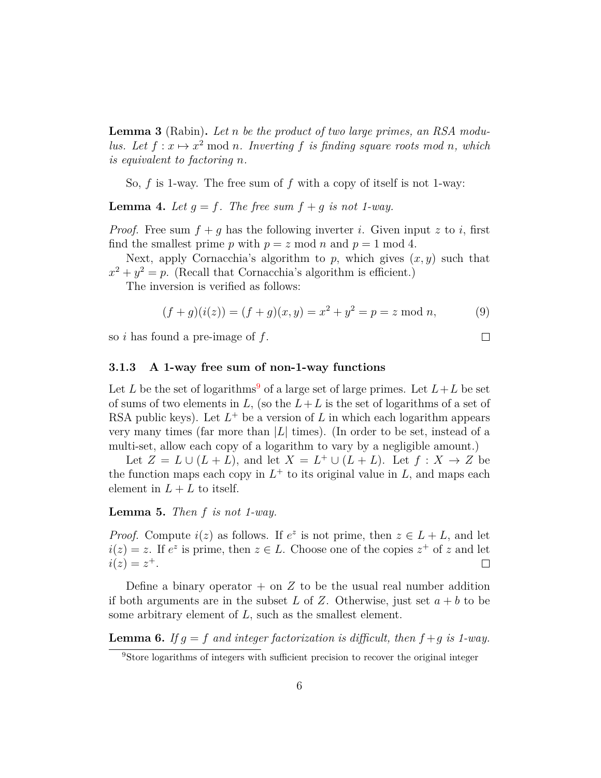**Lemma 3** (Rabin)**.** *Let n be the product of two large primes, an RSA modulus.* Let  $f: x \mapsto x^2 \text{ mod } n$ . Inverting f is finding square roots mod n, which *is equivalent to factoring n.*

So, *f* is 1-way. The free sum of *f* with a copy of itself is not 1-way:

**Lemma 4.** Let  $q = f$ . The free sum  $f + q$  is not 1-way.

*Proof.* Free sum  $f + g$  has the following inverter *i*. Given input *z* to *i*, first find the smallest prime *p* with  $p = z \mod n$  and  $p = 1 \mod 4$ .

Next, apply Cornacchia's algorithm to  $p$ , which gives  $(x, y)$  such that  $x^2 + y^2 = p$ . (Recall that Cornacchia's algorithm is efficient.)

The inversion is verified as follows:

$$
(f+g)(i(z)) = (f+g)(x,y) = x2 + y2 = p = z \text{ mod } n,
$$
 (9)

so *i* has found a pre-image of *f*.

<span id="page-5-1"></span>**3.1.3 A 1-way free sum of non-1-way functions**

Let L be the set of logarithms<sup>[9](#page-5-0)</sup> of a large set of large primes. Let  $L + L$  be set of sums of two elements in  $L$ , (so the  $L + L$  is the set of logarithms of a set of RSA public keys). Let  $L^+$  be a version of  $L$  in which each logarithm appears very many times (far more than |*L*| times). (In order to be set, instead of a multi-set, allow each copy of a logarithm to vary by a negligible amount.)

Let  $Z = L \cup (L + L)$ , and let  $X = L^+ \cup (L + L)$ . Let  $f : X \to Z$  be the function maps each copy in  $L^+$  to its original value in  $L$ , and maps each element in  $L + L$  to itself.

**Lemma 5.** *Then f is not 1-way.*

*Proof.* Compute  $i(z)$  as follows. If  $e^z$  is not prime, then  $z \in L + L$ , and let  $i(z) = z$ . If  $e^z$  is prime, then  $z \in L$ . Choose one of the copies  $z^+$  of *z* and let  $i(z) = z^{+}.$  $\Box$ 

Define a binary operator  $+$  on  $Z$  to be the usual real number addition if both arguments are in the subset L of Z. Otherwise, just set  $a + b$  to be some arbitrary element of *L*, such as the smallest element.

**Lemma 6.** If  $g = f$  and integer factorization is difficult, then  $f + g$  is 1-way.

 $\Box$ 

<span id="page-5-0"></span><sup>&</sup>lt;sup>9</sup>Store logarithms of integers with sufficient precision to recover the original integer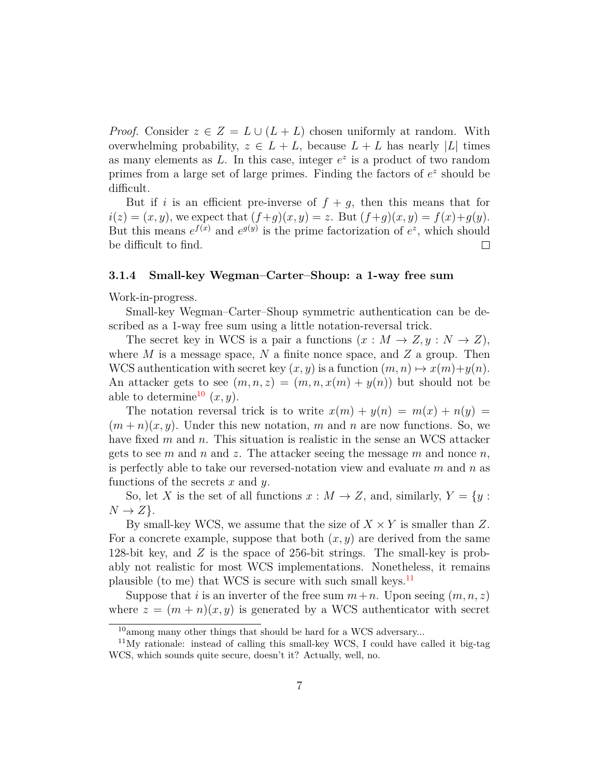*Proof.* Consider  $z \in Z = L \cup (L + L)$  chosen uniformly at random. With overwhelming probability,  $z \in L + L$ , because  $L + L$  has nearly |L| times as many elements as  $L$ . In this case, integer  $e^z$  is a product of two random primes from a large set of large primes. Finding the factors of  $e^z$  should be difficult.

But if *i* is an efficient pre-inverse of  $f + g$ , then this means that for  $i(z) = (x, y)$ , we expect that  $(f+g)(x, y) = z$ . But  $(f+g)(x, y) = f(x)+g(y)$ . But this means  $e^{f(x)}$  and  $e^{g(y)}$  is the prime factorization of  $e^z$ , which should be difficult to find.  $\Box$ 

#### **3.1.4 Small-key Wegman–Carter–Shoup: a 1-way free sum**

Work-in-progress.

Small-key Wegman–Carter–Shoup symmetric authentication can be described as a 1-way free sum using a little notation-reversal trick.

The secret key in WCS is a pair a functions  $(x : M \to Z, y : N \to Z)$ , where *M* is a message space, *N* a finite nonce space, and *Z* a group. Then WCS authentication with secret key  $(x, y)$  is a function  $(m, n) \mapsto x(m)+y(n)$ . An attacker gets to see  $(m, n, z) = (m, n, x(m) + y(n))$  but should not be able to determine<sup>[10](#page-6-0)</sup>  $(x, y)$ .

The notation reversal trick is to write  $x(m) + y(n) = m(x) + n(y) =$  $(m+n)(x, y)$ . Under this new notation, m and n are now functions. So, we have fixed *m* and *n*. This situation is realistic in the sense an WCS attacker gets to see *m* and *n* and *z*. The attacker seeing the message *m* and nonce *n*, is perfectly able to take our reversed-notation view and evaluate *m* and *n* as functions of the secrets *x* and *y*.

So, let *X* is the set of all functions  $x : M \to Z$ , and, similarly,  $Y = \{y : X\}$  $N \rightarrow Z$ .

By small-key WCS, we assume that the size of  $X \times Y$  is smaller than Z. For a concrete example, suppose that both (*x, y*) are derived from the same 128-bit key, and *Z* is the space of 256-bit strings. The small-key is probably not realistic for most WCS implementations. Nonetheless, it remains plausible (to me) that WCS is secure with such small keys.<sup>[11](#page-6-1)</sup>

Suppose that *i* is an inverter of the free sum  $m+n$ . Upon seeing  $(m, n, z)$ where  $z = (m + n)(x, y)$  is generated by a WCS authenticator with secret

<span id="page-6-1"></span><span id="page-6-0"></span><sup>&</sup>lt;sup>10</sup>among many other things that should be hard for a WCS adversary...

<sup>&</sup>lt;sup>11</sup>My rationale: instead of calling this small-key WCS, I could have called it big-tag WCS, which sounds quite secure, doesn't it? Actually, well, no.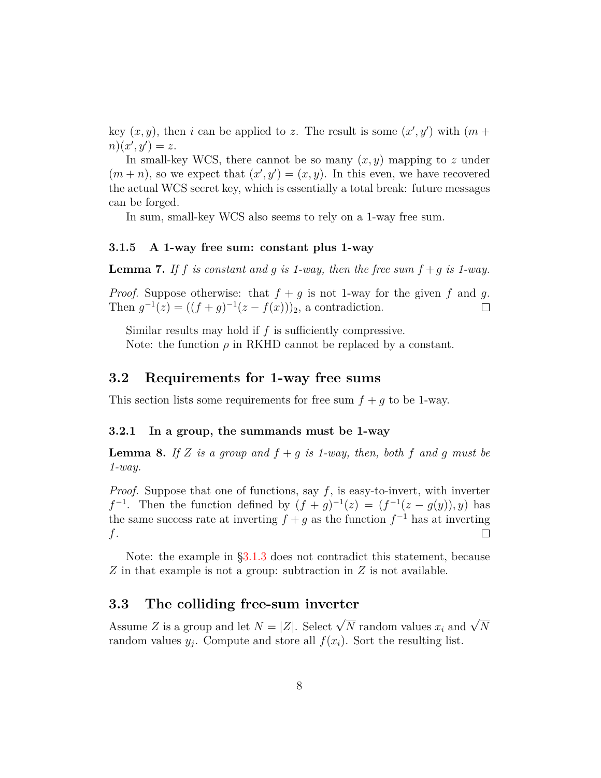key  $(x, y)$ , then *i* can be applied to *z*. The result is some  $(x', y')$  with  $(m +$  $n(x', y') = z.$ 

In small-key WCS, there cannot be so many  $(x, y)$  mapping to  $z$  under  $(m+n)$ , so we expect that  $(x', y') = (x, y)$ . In this even, we have recovered the actual WCS secret key, which is essentially a total break: future messages can be forged.

In sum, small-key WCS also seems to rely on a 1-way free sum.

#### **3.1.5 A 1-way free sum: constant plus 1-way**

**Lemma 7.** If f is constant and q is 1-way, then the free sum  $f + q$  is 1-way.

*Proof.* Suppose otherwise: that  $f + g$  is not 1-way for the given f and g. Then  $g^{-1}(z) = ((f + g)^{-1}(z - f(x)))_2$ , a contradiction.  $\Box$ 

Similar results may hold if *f* is sufficiently compressive. Note: the function  $\rho$  in RKHD cannot be replaced by a constant.

### **3.2 Requirements for 1-way free sums**

This section lists some requirements for free sum  $f + q$  to be 1-way.

#### **3.2.1 In a group, the summands must be 1-way**

**Lemma 8.** If *Z* is a group and  $f + g$  is 1-way, then, both  $f$  and  $g$  must be *1-way.*

*Proof.* Suppose that one of functions, say *f*, is easy-to-invert, with inverter *f*<sup>-1</sup>. Then the function defined by  $(f + g)^{-1}(z) = (f^{-1}(z - g(y)), y)$  has the same success rate at inverting  $f + g$  as the function  $f^{-1}$  has at inverting *f*.  $\Box$ 

Note: the example in [§3.1.3](#page-5-1) does not contradict this statement, because *Z* in that example is not a group: subtraction in *Z* is not available.

### **3.3 The colliding free-sum inverter**

Assume *Z* is a group and let  $N = |Z|$ . Select  $\sqrt{N}$  random values  $x_i$  and  $\sqrt{N}$ random values  $y_j$ . Compute and store all  $f(x_i)$ . Sort the resulting list.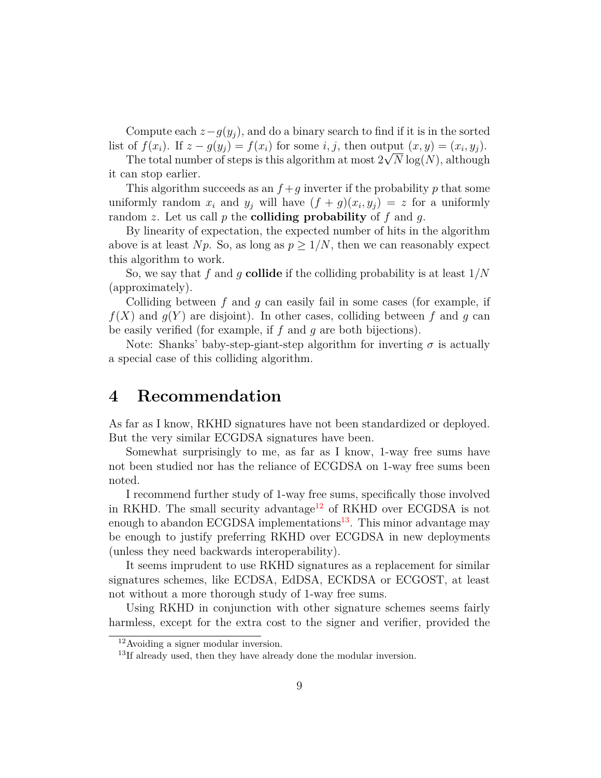Compute each  $z-g(y_j)$ , and do a binary search to find if it is in the sorted list of  $f(x_i)$ . If  $z - g(y_j) = f(x_i)$  for some *i*, *j*, then output  $(x, y) = (x_i, y_j)$ .

The total number of steps is this algorithm at most  $2\sqrt{N}\log(N)$ , although it can stop earlier.

This algorithm succeeds as an  $f + g$  inverter if the probability p that some uniformly random  $x_i$  and  $y_j$  will have  $(f + g)(x_i, y_j) = z$  for a uniformly random *z*. Let us call *p* the **colliding probability** of *f* and *g*.

By linearity of expectation, the expected number of hits in the algorithm above is at least *Np*. So, as long as  $p \geq 1/N$ , then we can reasonably expect this algorithm to work.

So, we say that *f* and *g* **collide** if the colliding probability is at least 1*/N* (approximately).

Colliding between *f* and *g* can easily fail in some cases (for example, if  $f(X)$  and  $g(Y)$  are disjoint). In other cases, colliding between f and g can be easily verified (for example, if *f* and *g* are both bijections).

Note: Shanks' baby-step-giant-step algorithm for inverting  $\sigma$  is actually a special case of this colliding algorithm.

## **4 Recommendation**

As far as I know, RKHD signatures have not been standardized or deployed. But the very similar ECGDSA signatures have been.

Somewhat surprisingly to me, as far as I know, 1-way free sums have not been studied nor has the reliance of ECGDSA on 1-way free sums been noted.

I recommend further study of 1-way free sums, specifically those involved in RKHD. The small security advantage<sup>[12](#page-8-0)</sup> of RKHD over ECGDSA is not enough to abandon ECGDSA implementations<sup>[13](#page-8-1)</sup>. This minor advantage may be enough to justify preferring RKHD over ECGDSA in new deployments (unless they need backwards interoperability).

It seems imprudent to use RKHD signatures as a replacement for similar signatures schemes, like ECDSA, EdDSA, ECKDSA or ECGOST, at least not without a more thorough study of 1-way free sums.

Using RKHD in conjunction with other signature schemes seems fairly harmless, except for the extra cost to the signer and verifier, provided the

<span id="page-8-0"></span><sup>12</sup>Avoiding a signer modular inversion.

<span id="page-8-1"></span><sup>&</sup>lt;sup>13</sup>If already used, then they have already done the modular inversion.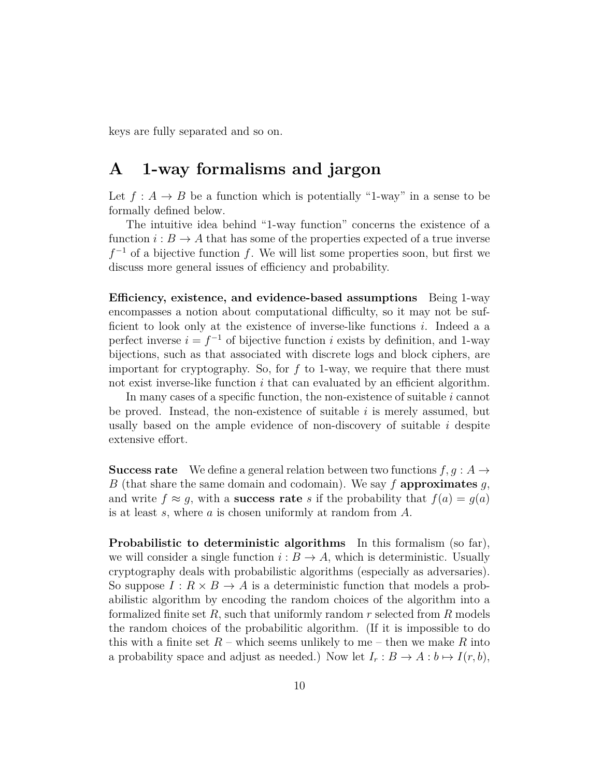keys are fully separated and so on.

## <span id="page-9-0"></span>**A 1-way formalisms and jargon**

Let  $f : A \to B$  be a function which is potentially "1-way" in a sense to be formally defined below.

The intuitive idea behind "1-way function" concerns the existence of a function  $i : B \to A$  that has some of the properties expected of a true inverse *f*<sup>-1</sup> of a bijective function *f*. We will list some properties soon, but first we discuss more general issues of efficiency and probability.

**Efficiency, existence, and evidence-based assumptions** Being 1-way encompasses a notion about computational difficulty, so it may not be sufficient to look only at the existence of inverse-like functions *i*. Indeed a a perfect inverse  $i = f^{-1}$  of bijective function *i* exists by definition, and 1-way bijections, such as that associated with discrete logs and block ciphers, are important for cryptography. So, for *f* to 1-way, we require that there must not exist inverse-like function *i* that can evaluated by an efficient algorithm.

In many cases of a specific function, the non-existence of suitable *i* cannot be proved. Instead, the non-existence of suitable *i* is merely assumed, but usally based on the ample evidence of non-discovery of suitable *i* despite extensive effort.

**Success rate** We define a general relation between two functions  $f, g : A \rightarrow$ *B* (that share the same domain and codomain). We say *f* **approximates** *g*, and write  $f \approx g$ , with a **success rate** *s* if the probability that  $f(a) = g(a)$ is at least *s*, where *a* is chosen uniformly at random from *A*.

**Probabilistic to deterministic algorithms** In this formalism (so far), we will consider a single function  $i : B \to A$ , which is deterministic. Usually cryptography deals with probabilistic algorithms (especially as adversaries). So suppose  $I: R \times B \to A$  is a deterministic function that models a probabilistic algorithm by encoding the random choices of the algorithm into a formalized finite set *R*, such that uniformly random *r* selected from *R* models the random choices of the probabilitic algorithm. (If it is impossible to do this with a finite set  $R$  – which seems unlikely to me – then we make  $R$  into a probability space and adjust as needed.) Now let  $I_r : B \to A : b \mapsto I(r, b)$ ,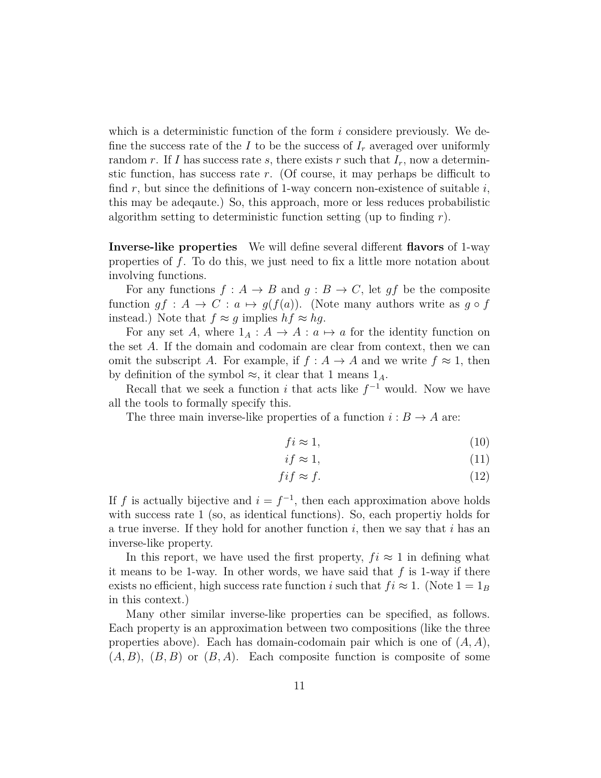which is a deterministic function of the form *i* considere previously. We define the success rate of the *I* to be the success of  $I_r$  averaged over uniformly random *r*. If *I* has success rate *s*, there exists *r* such that  $I_r$ , now a determinstic function, has success rate *r*. (Of course, it may perhaps be difficult to find *r*, but since the definitions of 1-way concern non-existence of suitable *i*, this may be adeqaute.) So, this approach, more or less reduces probabilistic algorithm setting to deterministic function setting (up to finding *r*).

**Inverse-like properties** We will define several different **flavors** of 1-way properties of *f*. To do this, we just need to fix a little more notation about involving functions.

For any functions  $f : A \to B$  and  $g : B \to C$ , let  $gf$  be the composite function  $gf: A \to C: a \mapsto g(f(a))$ . (Note many authors write as  $g \circ f$ instead.) Note that  $f \approx g$  implies  $hf \approx hg$ .

For any set *A*, where  $1_A : A \to A : a \mapsto a$  for the identity function on the set *A*. If the domain and codomain are clear from context, then we can omit the subscript *A*. For example, if  $f : A \to A$  and we write  $f \approx 1$ , then by definition of the symbol  $\approx$ , it clear that 1 means  $1_A$ .

Recall that we seek a function *i* that acts like  $f^{-1}$  would. Now we have all the tools to formally specify this.

The three main inverse-like properties of a function  $i : B \to A$  are:

$$
fi \approx 1,\tag{10}
$$

$$
if \approx 1,\tag{11}
$$

$$
fif \approx f. \tag{12}
$$

If *f* is actually bijective and  $i = f^{-1}$ , then each approximation above holds with success rate 1 (so, as identical functions). So, each propertiy holds for a true inverse. If they hold for another function *i*, then we say that *i* has an inverse-like property.

In this report, we have used the first property,  $f_i \approx 1$  in defining what it means to be 1-way. In other words, we have said that *f* is 1-way if there exists no efficient, high success rate function *i* such that  $f_i \approx 1$ . (Note  $1 = 1_B$ in this context.)

Many other similar inverse-like properties can be specified, as follows. Each property is an approximation between two compositions (like the three properties above). Each has domain-codomain pair which is one of (*A, A*),  $(A, B)$ ,  $(B, B)$  or  $(B, A)$ . Each composite function is composite of some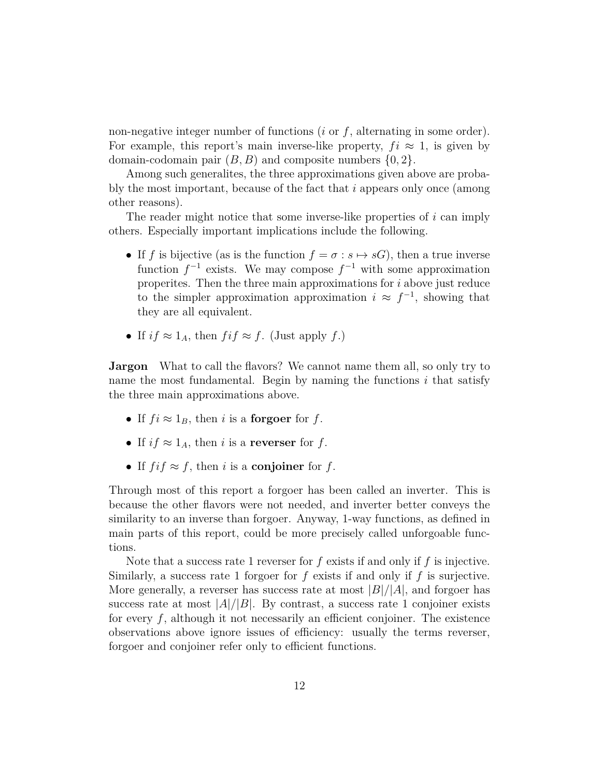non-negative integer number of functions (*i* or *f*, alternating in some order). For example, this report's main inverse-like property,  $f_i \approx 1$ , is given by domain-codomain pair (*B, B*) and composite numbers {0*,* 2}.

Among such generalites, the three approximations given above are probably the most important, because of the fact that *i* appears only once (among other reasons).

The reader might notice that some inverse-like properties of *i* can imply others. Especially important implications include the following.

- If *f* is bijective (as is the function  $f = \sigma : s \mapsto sG$ ), then a true inverse function  $f^{-1}$  exists. We may compose  $f^{-1}$  with some approximation properites. Then the three main approximations for *i* above just reduce to the simpler approximation approximation  $i \approx f^{-1}$ , showing that they are all equivalent.
- If  $if \approx 1_A$ , then  $fif \approx f$ . (Just apply f.)

**Jargon** What to call the flavors? We cannot name them all, so only try to name the most fundamental. Begin by naming the functions *i* that satisfy the three main approximations above.

- If  $f_i \approx 1_B$ , then *i* is a **forgoer** for *f*.
- If  $if \approx 1_A$ , then *i* is a **reverser** for *f*.
- If  $f \in \mathcal{F}$ , then *i* is a **conjoiner** for *f*.

Through most of this report a forgoer has been called an inverter. This is because the other flavors were not needed, and inverter better conveys the similarity to an inverse than forgoer. Anyway, 1-way functions, as defined in main parts of this report, could be more precisely called unforgoable functions.

Note that a success rate 1 reverser for *f* exists if and only if *f* is injective. Similarly, a success rate 1 forgoer for *f* exists if and only if *f* is surjective. More generally, a reverser has success rate at most  $|B|/|A|$ , and forgoer has success rate at most  $|A|/|B|$ . By contrast, a success rate 1 conjoiner exists for every f, although it not necessarily an efficient conjoiner. The existence observations above ignore issues of efficiency: usually the terms reverser, forgoer and conjoiner refer only to efficient functions.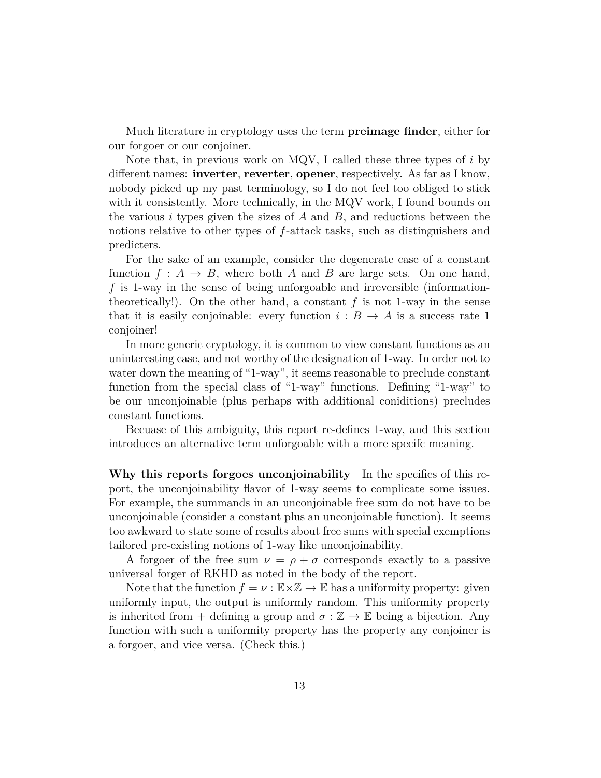Much literature in cryptology uses the term **preimage finder**, either for our forgoer or our conjoiner.

Note that, in previous work on MQV, I called these three types of *i* by different names: **inverter**, **reverter**, **opener**, respectively. As far as I know, nobody picked up my past terminology, so I do not feel too obliged to stick with it consistently. More technically, in the MQV work, I found bounds on the various *i* types given the sizes of *A* and *B*, and reductions between the notions relative to other types of *f*-attack tasks, such as distinguishers and predicters.

For the sake of an example, consider the degenerate case of a constant function  $f : A \rightarrow B$ , where both *A* and *B* are large sets. On one hand, *f* is 1-way in the sense of being unforgoable and irreversible (informationtheoretically!). On the other hand, a constant  $f$  is not 1-way in the sense that it is easily conjoinable: every function  $i : B \to A$  is a success rate 1 conjoiner!

In more generic cryptology, it is common to view constant functions as an uninteresting case, and not worthy of the designation of 1-way. In order not to water down the meaning of "1-way", it seems reasonable to preclude constant function from the special class of "1-way" functions. Defining "1-way" to be our unconjoinable (plus perhaps with additional coniditions) precludes constant functions.

Becuase of this ambiguity, this report re-defines 1-way, and this section introduces an alternative term unforgoable with a more specifc meaning.

**Why this reports forgoes unconjoinability** In the specifics of this report, the unconjoinability flavor of 1-way seems to complicate some issues. For example, the summands in an unconjoinable free sum do not have to be unconjoinable (consider a constant plus an unconjoinable function). It seems too awkward to state some of results about free sums with special exemptions tailored pre-existing notions of 1-way like unconjoinability.

A forgoer of the free sum  $\nu = \rho + \sigma$  corresponds exactly to a passive universal forger of RKHD as noted in the body of the report.

Note that the function  $f = \nu : \mathbb{E} \times \mathbb{Z} \to \mathbb{E}$  has a uniformity property: given uniformly input, the output is uniformly random. This uniformity property is inherited from + defining a group and  $\sigma : \mathbb{Z} \to \mathbb{E}$  being a bijection. Any function with such a uniformity property has the property any conjoiner is a forgoer, and vice versa. (Check this.)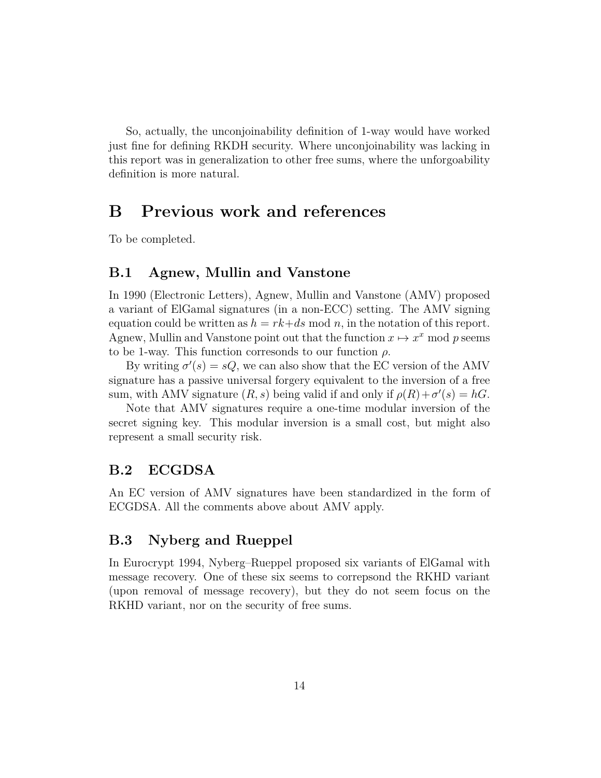So, actually, the unconjoinability definition of 1-way would have worked just fine for defining RKDH security. Where unconjoinability was lacking in this report was in generalization to other free sums, where the unforgoability definition is more natural.

## **B Previous work and references**

To be completed.

### **B.1 Agnew, Mullin and Vanstone**

In 1990 (Electronic Letters), Agnew, Mullin and Vanstone (AMV) proposed a variant of ElGamal signatures (in a non-ECC) setting. The AMV signing equation could be written as  $h = rk + ds \mod n$ , in the notation of this report. Agnew, Mullin and Vanstone point out that the function  $x \mapsto x^x$  mod p seems to be 1-way. This function corresonds to our function *ρ*.

By writing  $\sigma'(s) = sQ$ , we can also show that the EC version of the AMV signature has a passive universal forgery equivalent to the inversion of a free sum, with AMV signature  $(R, s)$  being valid if and only if  $\rho(R) + \sigma'(s) = hG$ .

Note that AMV signatures require a one-time modular inversion of the secret signing key. This modular inversion is a small cost, but might also represent a small security risk.

### **B.2 ECGDSA**

An EC version of AMV signatures have been standardized in the form of ECGDSA. All the comments above about AMV apply.

### **B.3 Nyberg and Rueppel**

In Eurocrypt 1994, Nyberg–Rueppel proposed six variants of ElGamal with message recovery. One of these six seems to correpsond the RKHD variant (upon removal of message recovery), but they do not seem focus on the RKHD variant, nor on the security of free sums.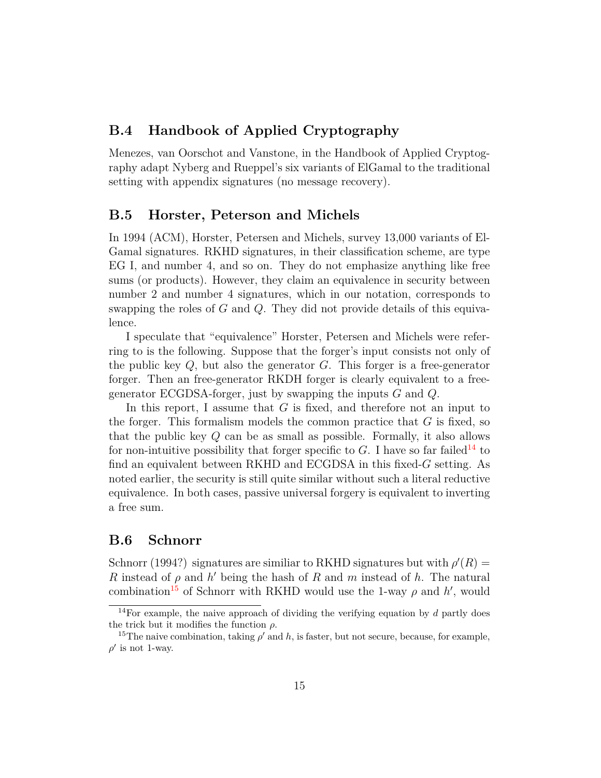### **B.4 Handbook of Applied Cryptography**

Menezes, van Oorschot and Vanstone, in the Handbook of Applied Cryptography adapt Nyberg and Rueppel's six variants of ElGamal to the traditional setting with appendix signatures (no message recovery).

### **B.5 Horster, Peterson and Michels**

In 1994 (ACM), Horster, Petersen and Michels, survey 13,000 variants of El-Gamal signatures. RKHD signatures, in their classification scheme, are type EG I, and number 4, and so on. They do not emphasize anything like free sums (or products). However, they claim an equivalence in security between number 2 and number 4 signatures, which in our notation, corresponds to swapping the roles of *G* and *Q*. They did not provide details of this equivalence.

I speculate that "equivalence" Horster, Petersen and Michels were referring to is the following. Suppose that the forger's input consists not only of the public key *Q*, but also the generator *G*. This forger is a free-generator forger. Then an free-generator RKDH forger is clearly equivalent to a freegenerator ECGDSA-forger, just by swapping the inputs *G* and *Q*.

In this report, I assume that *G* is fixed, and therefore not an input to the forger. This formalism models the common practice that *G* is fixed, so that the public key *Q* can be as small as possible. Formally, it also allows for non-intuitive possibility that forger specific to  $G$ . I have so far failed<sup>[14](#page-14-0)</sup> to find an equivalent between RKHD and ECGDSA in this fixed-*G* setting. As noted earlier, the security is still quite similar without such a literal reductive equivalence. In both cases, passive universal forgery is equivalent to inverting a free sum.

### **B.6 Schnorr**

Schnorr (1994?) signatures are similiar to RKHD signatures but with  $\rho'(R)$ *R* instead of  $\rho$  and  $h'$  being the hash of *R* and *m* instead of *h*. The natural combination<sup>[15](#page-14-1)</sup> of Schnorr with RKHD would use the 1-way  $\rho$  and  $h'$ , would

<span id="page-14-0"></span><sup>&</sup>lt;sup>14</sup>For example, the naive approach of dividing the verifying equation by  $d$  partly does the trick but it modifies the function *ρ*.

<span id="page-14-1"></span><sup>&</sup>lt;sup>15</sup>The naive combination, taking  $\rho'$  and  $h$ , is faster, but not secure, because, for example,  $\rho'$  is not 1-way.